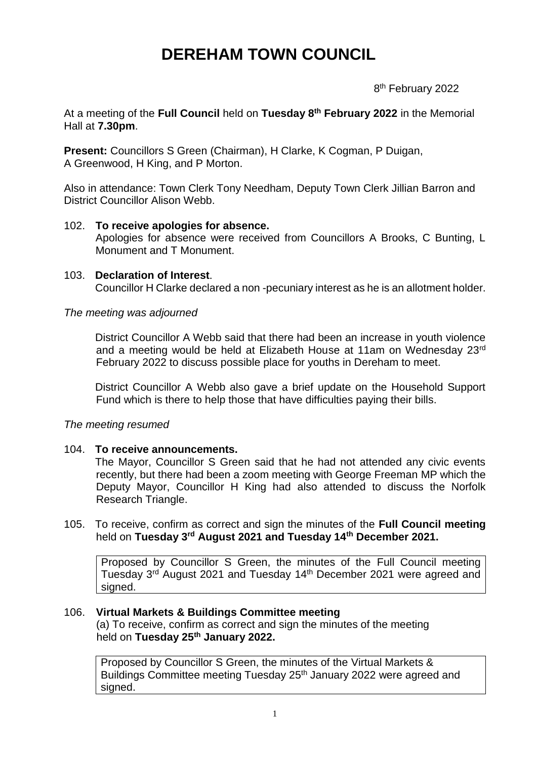# **DEREHAM TOWN COUNCIL**

en andere de la provincia de la provincia de la provincia de la provincia de la provincia de la provincia del 8<sup>th</sup> February 2022

At a meeting of the **Full Council** held on **Tuesday 8 th February 2022** in the Memorial Hall at **7.30pm**.

**Present:** Councillors S Green (Chairman), H Clarke, K Cogman, P Duigan, A Greenwood, H King, and P Morton.

Also in attendance: Town Clerk Tony Needham, Deputy Town Clerk Jillian Barron and District Councillor Alison Webb.

## 102. **To receive apologies for absence.**

Apologies for absence were received from Councillors A Brooks, C Bunting, L Monument and T Monument.

#### 103. **Declaration of Interest**. Councillor H Clarke declared a non -pecuniary interest as he is an allotment holder.

## *The meeting was adjourned*

District Councillor A Webb said that there had been an increase in youth violence and a meeting would be held at Elizabeth House at 11am on Wednesday 23rd February 2022 to discuss possible place for youths in Dereham to meet.

District Councillor A Webb also gave a brief update on the Household Support Fund which is there to help those that have difficulties paying their bills.

## *The meeting resumed*

#### 104. **To receive announcements.**

The Mayor, Councillor S Green said that he had not attended any civic events recently, but there had been a zoom meeting with George Freeman MP which the Deputy Mayor, Councillor H King had also attended to discuss the Norfolk Research Triangle.

105. To receive, confirm as correct and sign the minutes of the **Full Council meeting** held on **Tuesday 3rd August 2021 and Tuesday 14th December 2021.**

Proposed by Councillor S Green, the minutes of the Full Council meeting Tuesday 3rd August 2021 and Tuesday 14th December 2021 were agreed and signed.

#### 106. **Virtual Markets & Buildings Committee meeting**

(a) To receive, confirm as correct and sign the minutes of the meeting held on **Tuesday 25th January 2022.**

Proposed by Councillor S Green, the minutes of the Virtual Markets & Buildings Committee meeting Tuesday 25<sup>th</sup> January 2022 were agreed and signed.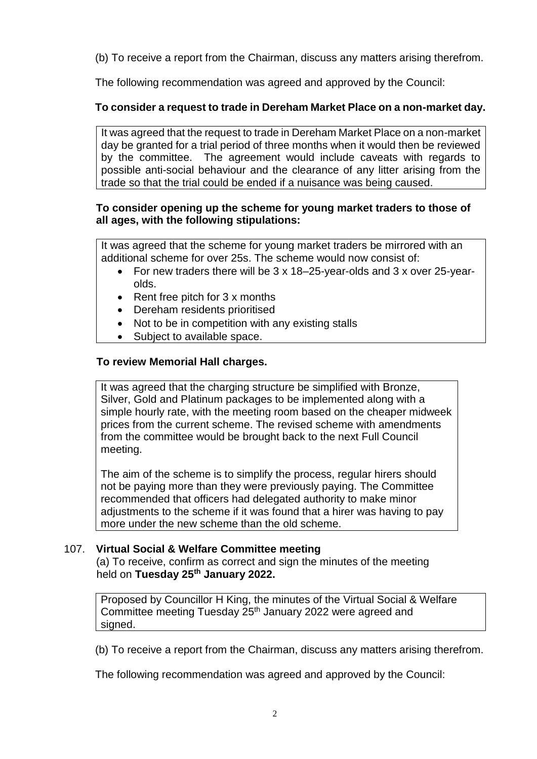(b) To receive a report from the Chairman, discuss any matters arising therefrom.

The following recommendation was agreed and approved by the Council:

# **To consider a request to trade in Dereham Market Place on a non-market day.**

It was agreed that the request to trade in Dereham Market Place on a non-market day be granted for a trial period of three months when it would then be reviewed by the committee. The agreement would include caveats with regards to possible anti-social behaviour and the clearance of any litter arising from the trade so that the trial could be ended if a nuisance was being caused.

# **To consider opening up the scheme for young market traders to those of all ages, with the following stipulations:**

It was agreed that the scheme for young market traders be mirrored with an additional scheme for over 25s. The scheme would now consist of:

- For new traders there will be 3 x 18–25-year-olds and 3 x over 25-yearolds.
- Rent free pitch for 3 x months
- Dereham residents prioritised
- Not to be in competition with any existing stalls
- Subject to available space.

# **To review Memorial Hall charges.**

It was agreed that the charging structure be simplified with Bronze, Silver, Gold and Platinum packages to be implemented along with a simple hourly rate, with the meeting room based on the cheaper midweek prices from the current scheme. The revised scheme with amendments from the committee would be brought back to the next Full Council meeting.

The aim of the scheme is to simplify the process, regular hirers should not be paying more than they were previously paying. The Committee recommended that officers had delegated authority to make minor adjustments to the scheme if it was found that a hirer was having to pay more under the new scheme than the old scheme.

## 107. **Virtual Social & Welfare Committee meeting**

(a) To receive, confirm as correct and sign the minutes of the meeting held on **Tuesday 25th January 2022.**

Proposed by Councillor H King, the minutes of the Virtual Social & Welfare Committee meeting Tuesday 25th January 2022 were agreed and signed.

(b) To receive a report from the Chairman, discuss any matters arising therefrom.

The following recommendation was agreed and approved by the Council: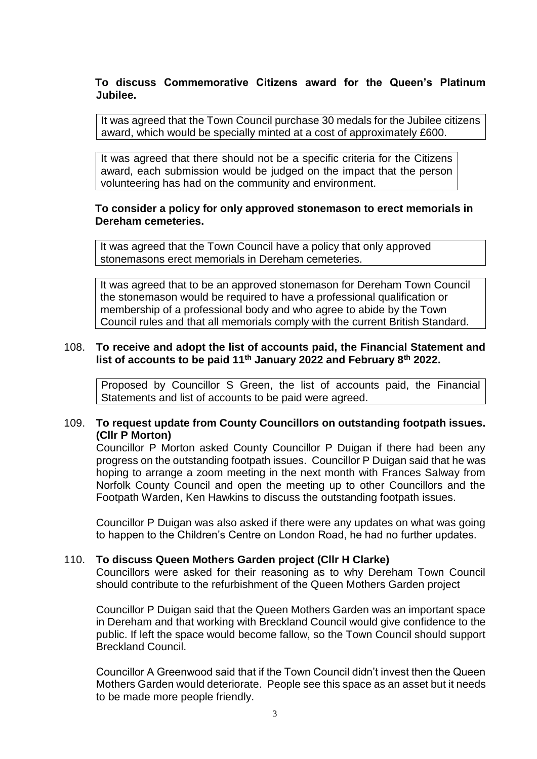## **To discuss Commemorative Citizens award for the Queen's Platinum Jubilee.**

It was agreed that the Town Council purchase 30 medals for the Jubilee citizens award, which would be specially minted at a cost of approximately £600.

It was agreed that there should not be a specific criteria for the Citizens award, each submission would be judged on the impact that the person volunteering has had on the community and environment.

## **To consider a policy for only approved stonemason to erect memorials in Dereham cemeteries.**

It was agreed that the Town Council have a policy that only approved stonemasons erect memorials in Dereham cemeteries.

It was agreed that to be an approved stonemason for Dereham Town Council the stonemason would be required to have a professional qualification or membership of a professional body and who agree to abide by the Town Council rules and that all memorials comply with the current British Standard.

## 108. **To receive and adopt the list of accounts paid, the Financial Statement and list of accounts to be paid 11th January 2022 and February 8th 2022.**

Proposed by Councillor S Green, the list of accounts paid, the Financial Statements and list of accounts to be paid were agreed.

## 109. **To request update from County Councillors on outstanding footpath issues. (Cllr P Morton)**

Councillor P Morton asked County Councillor P Duigan if there had been any progress on the outstanding footpath issues. Councillor P Duigan said that he was hoping to arrange a zoom meeting in the next month with Frances Salway from Norfolk County Council and open the meeting up to other Councillors and the Footpath Warden, Ken Hawkins to discuss the outstanding footpath issues.

Councillor P Duigan was also asked if there were any updates on what was going to happen to the Children's Centre on London Road, he had no further updates.

#### 110. **To discuss Queen Mothers Garden project (Cllr H Clarke)**

Councillors were asked for their reasoning as to why Dereham Town Council should contribute to the refurbishment of the Queen Mothers Garden project

Councillor P Duigan said that the Queen Mothers Garden was an important space in Dereham and that working with Breckland Council would give confidence to the public. If left the space would become fallow, so the Town Council should support Breckland Council.

Councillor A Greenwood said that if the Town Council didn't invest then the Queen Mothers Garden would deteriorate. People see this space as an asset but it needs to be made more people friendly.